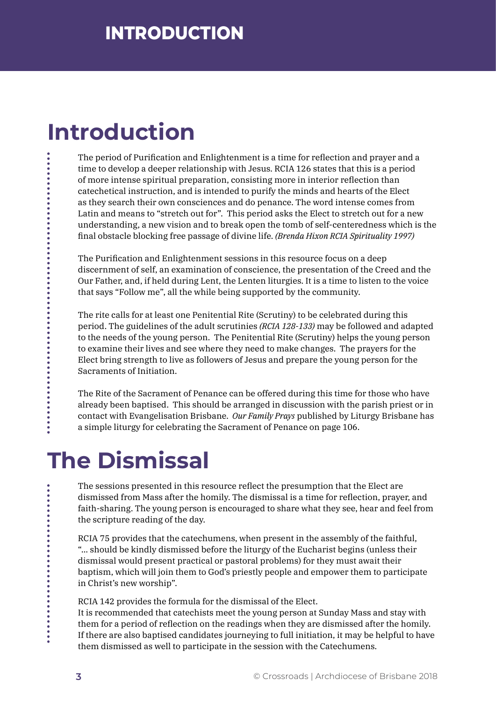## **Introduction**

The period of Purification and Enlightenment is a time for reflection and prayer and a time to develop a deeper relationship with Jesus. RCIA 126 states that this is a period of more intense spiritual preparation, consisting more in interior reflection than catechetical instruction, and is intended to purify the minds and hearts of the Elect as they search their own consciences and do penance. The word intense comes from Latin and means to "stretch out for". This period asks the Elect to stretch out for a new understanding, a new vision and to break open the tomb of self-centeredness which is the final obstacle blocking free passage of divine life. *(Brenda Hixon RCIA Spirituality 1997)* 

The Purification and Enlightenment sessions in this resource focus on a deep discernment of self, an examination of conscience, the presentation of the Creed and the Our Father, and, if held during Lent, the Lenten liturgies. It is a time to listen to the voice that says "Follow me", all the while being supported by the community.

The rite calls for at least one Penitential Rite (Scrutiny) to be celebrated during this period. The guidelines of the adult scrutinies *(RCIA 128-133)* may be followed and adapted to the needs of the young person. The Penitential Rite (Scrutiny) helps the young person to examine their lives and see where they need to make changes. The prayers for the Elect bring strength to live as followers of Jesus and prepare the young person for the Sacraments of Initiation.

The Rite of the Sacrament of Penance can be offered during this time for those who have already been baptised. This should be arranged in discussion with the parish priest or in contact with Evangelisation Brisbane. *Our Family Prays* published by Liturgy Brisbane has a simple liturgy for celebrating the Sacrament of Penance on page 106.

## **The Dismissal**

The sessions presented in this resource reflect the presumption that the Elect are dismissed from Mass after the homily. The dismissal is a time for reflection, prayer, and faith-sharing. The young person is encouraged to share what they see, hear and feel from the scripture reading of the day.

RCIA 75 provides that the catechumens, when present in the assembly of the faithful, "... should be kindly dismissed before the liturgy of the Eucharist begins (unless their dismissal would present practical or pastoral problems) for they must await their baptism, which will join them to God's priestly people and empower them to participate in Christ's new worship".

RCIA 142 provides the formula for the dismissal of the Elect.

It is recommended that catechists meet the young person at Sunday Mass and stay with them for a period of reflection on the readings when they are dismissed after the homily. If there are also baptised candidates journeying to full initiation, it may be helpful to have them dismissed as well to participate in the session with the Catechumens.